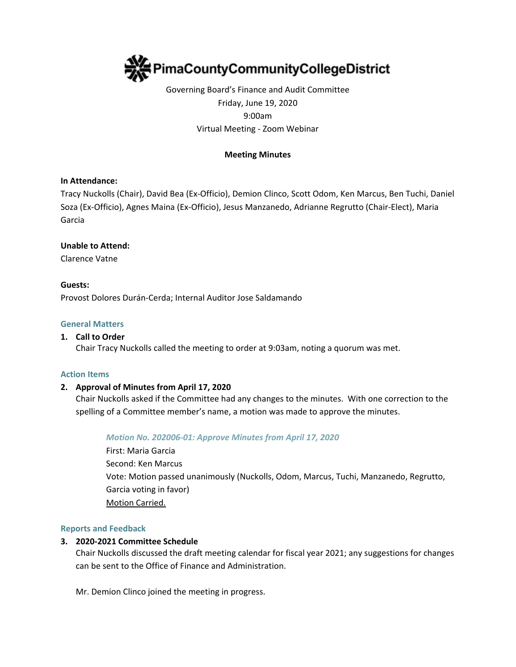

Governing Board's Finance and Audit Committee Friday, June 19, 2020 9:00am Virtual Meeting - Zoom Webinar

## **Meeting Minutes**

#### **In Attendance:**

Tracy Nuckolls (Chair), David Bea (Ex-Officio), Demion Clinco, Scott Odom, Ken Marcus, Ben Tuchi, Daniel Soza (Ex-Officio), Agnes Maina (Ex-Officio), Jesus Manzanedo, Adrianne Regrutto (Chair-Elect), Maria Garcia

#### **Unable to Attend:**

Clarence Vatne

# **Guests:**

Provost Dolores Durán-Cerda; Internal Auditor Jose Saldamando

#### **General Matters**

#### **1. Call to Order**

Chair Tracy Nuckolls called the meeting to order at 9:03am, noting a quorum was met.

#### **Action Items**

## **2. Approval of Minutes from April 17, 2020**

Chair Nuckolls asked if the Committee had any changes to the minutes. With one correction to the spelling of a Committee member's name, a motion was made to approve the minutes.

#### *Motion No. 202006-01: Approve Minutes from April 17, 2020*

First: Maria Garcia Second: Ken Marcus Vote: Motion passed unanimously (Nuckolls, Odom, Marcus, Tuchi, Manzanedo, Regrutto, Garcia voting in favor) Motion Carried.

#### **Reports and Feedback**

#### **3. 2020-2021 Committee Schedule**

Chair Nuckolls discussed the draft meeting calendar for fiscal year 2021; any suggestions for changes can be sent to the Office of Finance and Administration.

Mr. Demion Clinco joined the meeting in progress.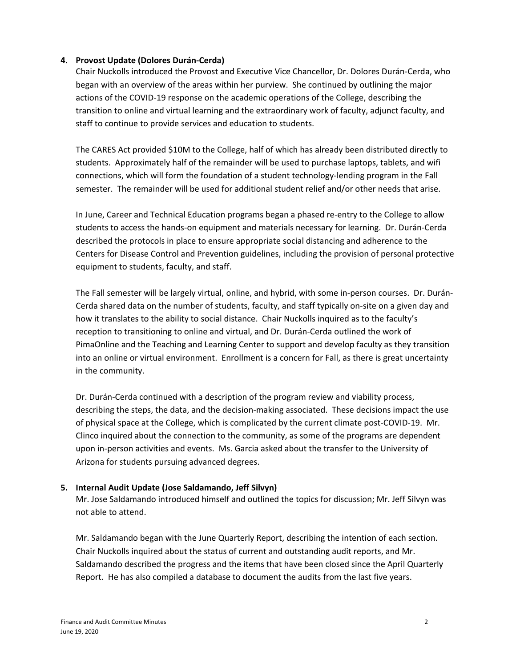## **4. Provost Update (Dolores Durán-Cerda)**

Chair Nuckolls introduced the Provost and Executive Vice Chancellor, Dr. Dolores Durán-Cerda, who began with an overview of the areas within her purview. She continued by outlining the major actions of the COVID-19 response on the academic operations of the College, describing the transition to online and virtual learning and the extraordinary work of faculty, adjunct faculty, and staff to continue to provide services and education to students.

The CARES Act provided \$10M to the College, half of which has already been distributed directly to students. Approximately half of the remainder will be used to purchase laptops, tablets, and wifi connections, which will form the foundation of a student technology-lending program in the Fall semester. The remainder will be used for additional student relief and/or other needs that arise.

In June, Career and Technical Education programs began a phased re-entry to the College to allow students to access the hands-on equipment and materials necessary for learning. Dr. Durán-Cerda described the protocols in place to ensure appropriate social distancing and adherence to the Centers for Disease Control and Prevention guidelines, including the provision of personal protective equipment to students, faculty, and staff.

The Fall semester will be largely virtual, online, and hybrid, with some in-person courses. Dr. Durán-Cerda shared data on the number of students, faculty, and staff typically on-site on a given day and how it translates to the ability to social distance. Chair Nuckolls inquired as to the faculty's reception to transitioning to online and virtual, and Dr. Durán-Cerda outlined the work of PimaOnline and the Teaching and Learning Center to support and develop faculty as they transition into an online or virtual environment. Enrollment is a concern for Fall, as there is great uncertainty in the community.

Dr. Durán-Cerda continued with a description of the program review and viability process, describing the steps, the data, and the decision-making associated. These decisions impact the use of physical space at the College, which is complicated by the current climate post-COVID-19. Mr. Clinco inquired about the connection to the community, as some of the programs are dependent upon in-person activities and events. Ms. Garcia asked about the transfer to the University of Arizona for students pursuing advanced degrees.

## **5. Internal Audit Update (Jose Saldamando, Jeff Silvyn)**

Mr. Jose Saldamando introduced himself and outlined the topics for discussion; Mr. Jeff Silvyn was not able to attend.

Mr. Saldamando began with the June Quarterly Report, describing the intention of each section. Chair Nuckolls inquired about the status of current and outstanding audit reports, and Mr. Saldamando described the progress and the items that have been closed since the April Quarterly Report. He has also compiled a database to document the audits from the last five years.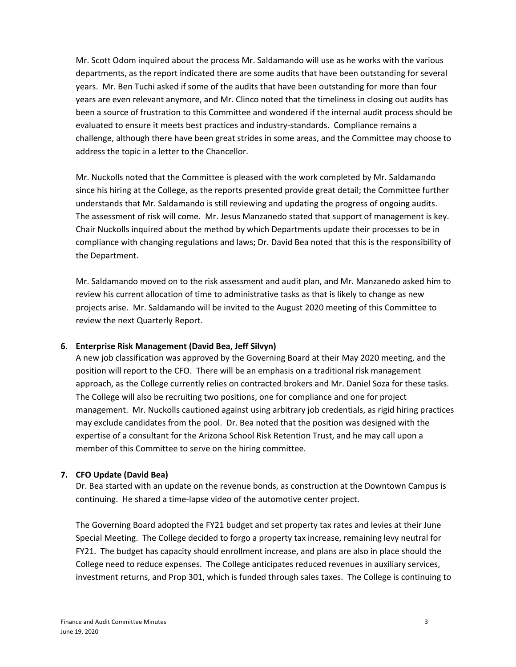Mr. Scott Odom inquired about the process Mr. Saldamando will use as he works with the various departments, as the report indicated there are some audits that have been outstanding for several years. Mr. Ben Tuchi asked if some of the audits that have been outstanding for more than four years are even relevant anymore, and Mr. Clinco noted that the timeliness in closing out audits has been a source of frustration to this Committee and wondered if the internal audit process should be evaluated to ensure it meets best practices and industry-standards. Compliance remains a challenge, although there have been great strides in some areas, and the Committee may choose to address the topic in a letter to the Chancellor.

Mr. Nuckolls noted that the Committee is pleased with the work completed by Mr. Saldamando since his hiring at the College, as the reports presented provide great detail; the Committee further understands that Mr. Saldamando is still reviewing and updating the progress of ongoing audits. The assessment of risk will come. Mr. Jesus Manzanedo stated that support of management is key. Chair Nuckolls inquired about the method by which Departments update their processes to be in compliance with changing regulations and laws; Dr. David Bea noted that this is the responsibility of the Department.

Mr. Saldamando moved on to the risk assessment and audit plan, and Mr. Manzanedo asked him to review his current allocation of time to administrative tasks as that is likely to change as new projects arise. Mr. Saldamando will be invited to the August 2020 meeting of this Committee to review the next Quarterly Report.

## **6. Enterprise Risk Management (David Bea, Jeff Silvyn)**

A new job classification was approved by the Governing Board at their May 2020 meeting, and the position will report to the CFO. There will be an emphasis on a traditional risk management approach, as the College currently relies on contracted brokers and Mr. Daniel Soza for these tasks. The College will also be recruiting two positions, one for compliance and one for project management. Mr. Nuckolls cautioned against using arbitrary job credentials, as rigid hiring practices may exclude candidates from the pool. Dr. Bea noted that the position was designed with the expertise of a consultant for the Arizona School Risk Retention Trust, and he may call upon a member of this Committee to serve on the hiring committee.

# **7. CFO Update (David Bea)**

Dr. Bea started with an update on the revenue bonds, as construction at the Downtown Campus is continuing. He shared a time-lapse video of the automotive center project.

The Governing Board adopted the FY21 budget and set property tax rates and levies at their June Special Meeting. The College decided to forgo a property tax increase, remaining levy neutral for FY21. The budget has capacity should enrollment increase, and plans are also in place should the College need to reduce expenses. The College anticipates reduced revenues in auxiliary services, investment returns, and Prop 301, which is funded through sales taxes. The College is continuing to